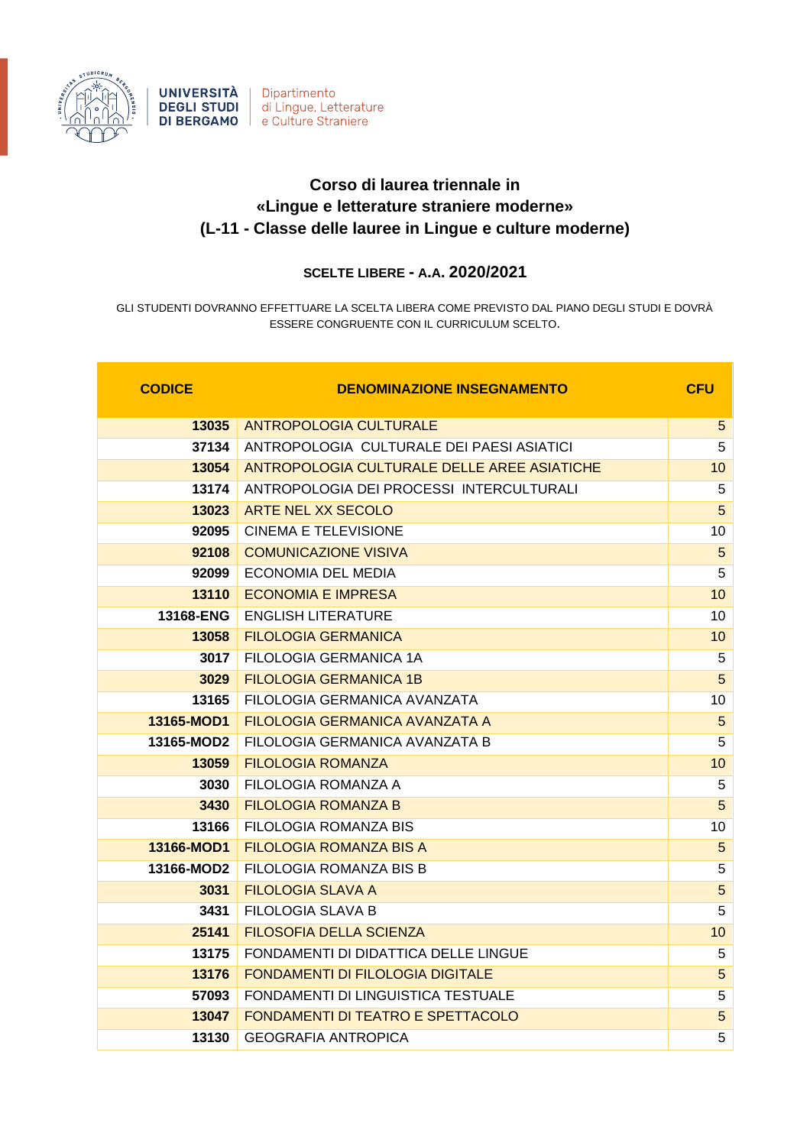

## **Corso di laurea triennale in «Lingue e letterature straniere moderne» (L-11 - Classe delle lauree in Lingue e culture moderne)**

## **SCELTE LIBERE - A.A. 2020/2021**

GLI STUDENTI DOVRANNO EFFETTUARE LA SCELTA LIBERA COME PREVISTO DAL PIANO DEGLI STUDI E DOVRÀ ESSERE CONGRUENTE CON IL CURRICULUM SCELTO.

| <b>CODICE</b> | <b>DENOMINAZIONE INSEGNAMENTO</b>           | <b>CFU</b>      |
|---------------|---------------------------------------------|-----------------|
| 13035         | <b>ANTROPOLOGIA CULTURALE</b>               | 5 <sup>5</sup>  |
| 37134         | ANTROPOLOGIA CULTURALE DEI PAESI ASIATICI   | 5               |
| 13054         | ANTROPOLOGIA CULTURALE DELLE AREE ASIATICHE | 10 <sup>1</sup> |
| 13174         | ANTROPOLOGIA DEI PROCESSI INTERCULTURALI    | 5               |
| 13023         | ARTE NEL XX SECOLO                          | 5 <sup>5</sup>  |
| 92095         | <b>CINEMA E TELEVISIONE</b>                 | 10              |
| 92108         | <b>COMUNICAZIONE VISIVA</b>                 | 5               |
| 92099         | <b>ECONOMIA DEL MEDIA</b>                   | 5               |
| 13110         | <b>ECONOMIA E IMPRESA</b>                   | 10 <sup>1</sup> |
| 13168-ENG     | <b>ENGLISH LITERATURE</b>                   | 10              |
| 13058         | <b>FILOLOGIA GERMANICA</b>                  | 10              |
| 3017          | FILOLOGIA GERMANICA 1A                      | 5               |
| 3029          | <b>FILOLOGIA GERMANICA 1B</b>               | 5               |
| 13165         | FILOLOGIA GERMANICA AVANZATA                | 10              |
| 13165-MOD1    | FILOLOGIA GERMANICA AVANZATA A              | $5\phantom{.0}$ |
| 13165-MOD2    | FILOLOGIA GERMANICA AVANZATA B              | 5               |
| 13059         | <b>FILOLOGIA ROMANZA</b>                    | 10              |
| 3030          | FILOLOGIA ROMANZA A                         | 5               |
| 3430          | <b>FILOLOGIA ROMANZA B</b>                  | 5               |
| 13166         | <b>FILOLOGIA ROMANZA BIS</b>                | 10              |
| 13166-MOD1    | <b>FILOLOGIA ROMANZA BIS A</b>              | $5\phantom{.0}$ |
| 13166-MOD2    | FILOLOGIA ROMANZA BIS B                     | 5               |
| 3031          | <b>FILOLOGIA SLAVA A</b>                    | 5               |
| 3431          | FILOLOGIA SLAVA B                           | 5               |
| 25141         | <b>FILOSOFIA DELLA SCIENZA</b>              | 10              |
| 13175         | FONDAMENTI DI DIDATTICA DELLE LINGUE        | 5               |
| 13176         | <b>FONDAMENTI DI FILOLOGIA DIGITALE</b>     | 5               |
| 57093         | <b>FONDAMENTI DI LINGUISTICA TESTUALE</b>   | 5               |
| 13047         | <b>FONDAMENTI DI TEATRO E SPETTACOLO</b>    | 5               |
| 13130         | <b>GEOGRAFIA ANTROPICA</b>                  | 5               |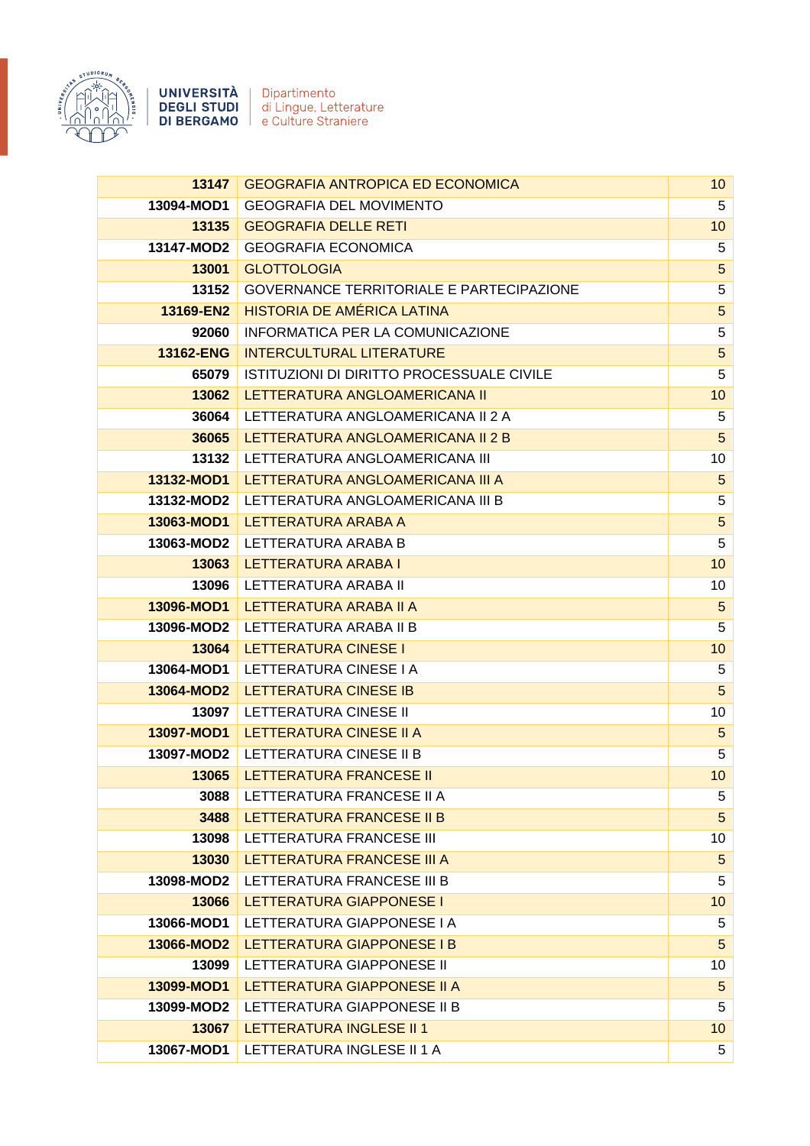

UNIVERSITÀ Dipartimento **DEGLI STUDI** di Lingue, Letterature **DI BERGAMO** | e Culture Straniere

**13147** GEOGRAFIA ANTROPICA ED ECONOMICA 10 10 10 **13094-MOD1** GEOGRAFIA DEL MOVIMENTO 5 **13135** GEOGRAFIA DELLE RETI 10 **13147-MOD2** GEOGRAFIA ECONOMICA 5 **13001** GLOTTOLOGIA 5 **13152** GOVERNANCE TERRITORIALE E PARTECIPAZIONE 5 **13169-EN2** HISTORIA DE AMÉRICA LATINA 5 **92060** INFORMATICA PER LA COMUNICAZIONE **5 13162-ENG** INTERCULTURAL LITERATURE **13162-ENG** 10 5 **65079** ISTITUZIONI DI DIRITTO PROCESSUALE CIVILE 5 **13062** LETTERATURA ANGLOAMERICANA II 10 **36064** LETTERATURA ANGLOAMERICANA II 2 A 5 **36065** LETTERATURA ANGLOAMERICANA II 2 B 5 5 1 1 2 MHz **13132** LETTERATURA ANGLOAMERICANA III 10 **13132-MOD1** LETTERATURA ANGLOAMERICANA III A 5 **13132-MOD2** LETTERATURA ANGLOAMERICANA III B 5 **13063-MOD1** LETTERATURA ARABA A 5 **13063-MOD2** LETTERATURA ARABA B 5 **13063 LETTERATURA ARABA I 100 ANGLES 2006 NASA I 100 ANGLES 2007 NASA I 100 ANGLES 2008 NASA I 100 ANGLES 200 13096** LETTERATURA ARABA II 10 **13096-MOD1** LETTERATURA ARABA II A 5 **13096-MOD2** LETTERATURA ARABA II B 5 **13064 LETTERATURA CINESE I 100 DE L'ALGUNA CINESE I 100 DE L'ALGUNA CINESE I 100 DE L'ALGUNA CINESE I 100 DE L' 13064-MOD1** LETTERATURA CINESE I A 5 **13064-MOD2** LETTERATURA CINESE IB 5 **13097** LETTERATURA CINESE II 10 **13097-MOD1** LETTERATURA CINESE II A 5 **13097-MOD2** LETTERATURA CINESE II B 5 **13065 LETTERATURA FRANCESE II** 100 and 100 and 100 and 100 and 100 and 100 and 100 and 100 and 100 and 100 and 10 **3088** LETTERATURA FRANCESE II A 5 **3488** LETTERATURA FRANCESE II B 5 **13098** LETTERATURA FRANCESE III 10 **13030 LETTERATURA FRANCESE III A 5 ANNU 13030 LETTERATURA FRANCESE III A 13098-MOD2** LETTERATURA FRANCESE III B 5 **13066 LETTERATURA GIAPPONESE I 100 CONTROLLER DESCRIPTION OF A 100 CONTROLLER DESCRIPTION OF A 100 CONTROLLER 13066-MOD1** LETTERATURA GIAPPONESE I A 5 **13066-MOD2** LETTERATURA GIAPPONESE I B 5 **13099** LETTERATURA GIAPPONESE II 10 **13099-MOD1** LETTERATURA GIAPPONESE II A 5 **13099-MOD2** LETTERATURA GIAPPONESE II B 5 **13067** LETTERATURA INGLESE II 1 10 **13067-MOD1** LETTERATURA INGLESE II 1 A 5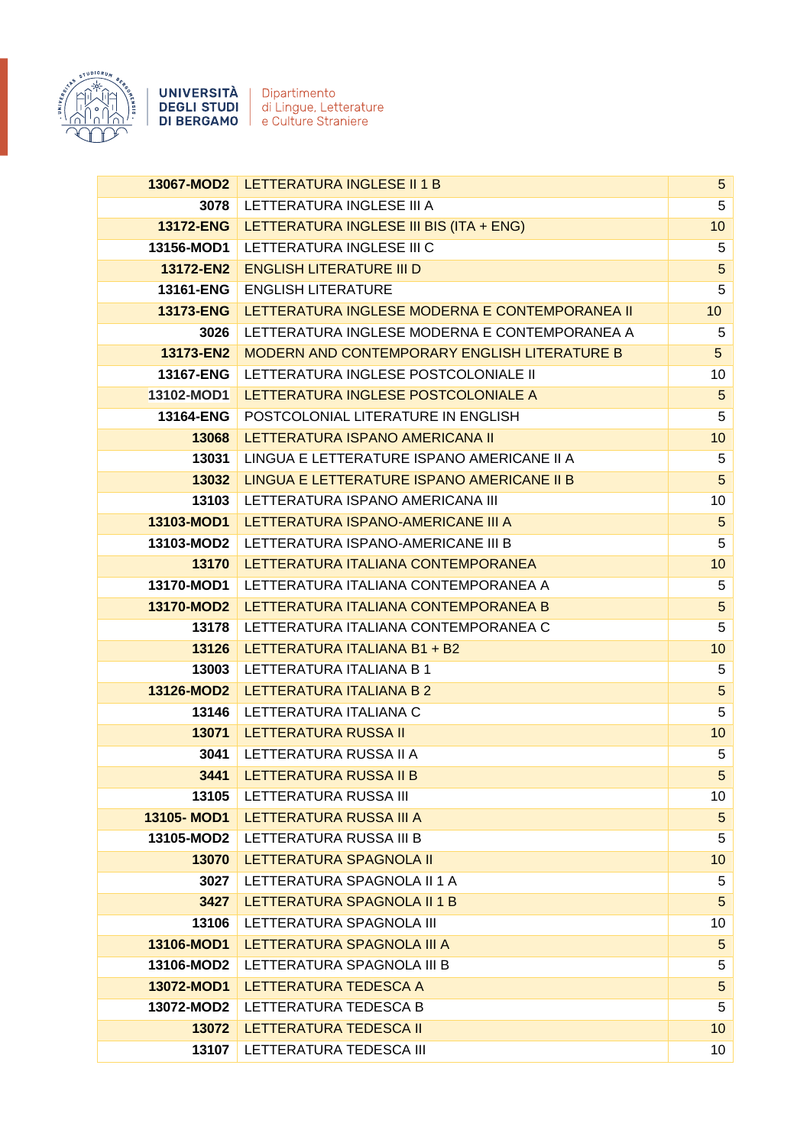

**UNIVERSITÀ** Dipartimento<br> **DEGLI STUDI** di Lingue, Letterature<br> **DI BERGAMO** e Culture Straniere

|                  | 13067-MOD2   LETTERATURA INGLESE II 1 B        | $5\phantom{.0}$ |
|------------------|------------------------------------------------|-----------------|
| 3078             | LETTERATURA INGLESE III A                      | 5               |
| <b>13172-ENG</b> | LETTERATURA INGLESE III BIS (ITA + ENG)        | 10              |
| 13156-MOD1       | LETTERATURA INGLESE III C                      | 5               |
| 13172-EN2        | <b>ENGLISH LITERATURE III D</b>                | $\overline{5}$  |
| 13161-ENG        | <b>ENGLISH LITERATURE</b>                      | 5               |
| <b>13173-ENG</b> | LETTERATURA INGLESE MODERNA E CONTEMPORANEA II | 10 <sup>1</sup> |
| 3026             | LETTERATURA INGLESE MODERNA E CONTEMPORANEA A  | 5               |
| 13173-EN2        | MODERN AND CONTEMPORARY ENGLISH LITERATURE B   | 5               |
| 13167-ENG        | LETTERATURA INGLESE POSTCOLONIALE II           | 10              |
| 13102-MOD1       | LETTERATURA INGLESE POSTCOLONIALE A            | $5\phantom{.0}$ |
| 13164-ENG        | POSTCOLONIAL LITERATURE IN ENGLISH             | 5               |
| 13068            | LETTERATURA ISPANO AMERICANA III               | 10              |
| 13031            | LINGUA E LETTERATURE ISPANO AMERICANE II A     | 5               |
| 13032            | LINGUA E LETTERATURE ISPANO AMERICANE II B     | $\overline{5}$  |
| 13103            | LETTERATURA ISPANO AMERICANA III               | 10              |
| 13103-MOD1       | LETTERATURA ISPANO-AMERICANE III A             | 5               |
| 13103-MOD2       | LETTERATURA ISPANO-AMERICANE III B             | 5               |
| 13170            | LETTERATURA ITALIANA CONTEMPORANEA             | 10              |
| 13170-MOD1       | LETTERATURA ITALIANA CONTEMPORANEA A           | 5               |
| 13170-MOD2       | LETTERATURA ITALIANA CONTEMPORANEA B           | 5               |
| 13178            | LETTERATURA ITALIANA CONTEMPORANEA C           | 5               |
| 13126            | LETTERATURA ITALIANA B1 + B2                   | 10              |
| 13003            | LETTERATURA ITALIANA B 1                       | 5               |
| 13126-MOD2       | LETTERATURA ITALIANA B 2                       | $\overline{5}$  |
| 13146            | LETTERATURA ITALIANA C                         | 5               |
| 13071            | <b>LETTERATURA RUSSA II</b>                    | 10              |
| 3041             | LETTERATURA RUSSA II A                         | 5               |
| 3441             | <b>LETTERATURA RUSSA II B</b>                  | 5               |
| 13105            | LETTERATURA RUSSA III                          | 10              |
| 13105-MOD1       | LETTERATURA RUSSA III A                        | $\overline{5}$  |
| 13105-MOD2       | LETTERATURA RUSSA III B                        | 5               |
| 13070            | LETTERATURA SPAGNOLA II                        | 10              |
| 3027             | LETTERATURA SPAGNOLA II 1 A                    | $\sqrt{5}$      |
| 3427             | LETTERATURA SPAGNOLA II 1 B                    | $\overline{5}$  |
| 13106            | LETTERATURA SPAGNOLA III                       | 10              |
| 13106-MOD1       | LETTERATURA SPAGNOLA III A                     | $\overline{5}$  |
| 13106-MOD2       | LETTERATURA SPAGNOLA III B                     | 5               |
| 13072-MOD1       | LETTERATURA TEDESCA A                          | 5               |
| 13072-MOD2       | LETTERATURA TEDESCA B                          | 5               |
| 13072            | LETTERATURA TEDESCA II                         | 10              |
| 13107            | LETTERATURA TEDESCA III                        | 10              |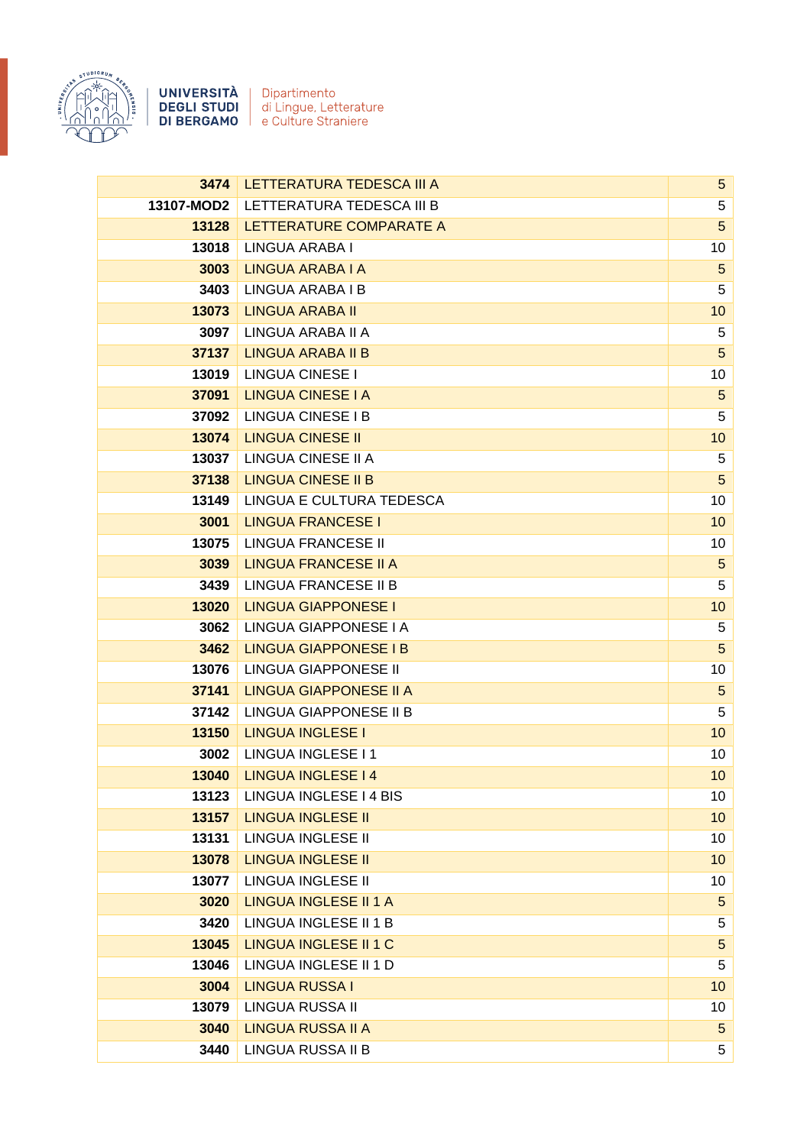

| 3474       | LETTERATURA TEDESCA III A     | 5 <sup>5</sup>  |
|------------|-------------------------------|-----------------|
| 13107-MOD2 | LETTERATURA TEDESCA III B     | 5               |
| 13128      | LETTERATURE COMPARATE A       | 5               |
| 13018      | LINGUA ARABA I                | 10              |
| 3003       | <b>LINGUA ARABA I A</b>       | $\overline{5}$  |
| 3403       | LINGUA ARABA I B              | 5               |
| 13073      | <b>LINGUA ARABA II</b>        | 10              |
| 3097       | LINGUA ARABA II A             | 5               |
| 37137      | <b>LINGUA ARABA II B</b>      | 5               |
| 13019      | <b>LINGUA CINESE I</b>        | 10              |
| 37091      | <b>LINGUA CINESE I A</b>      | $\sqrt{5}$      |
| 37092      | <b>LINGUA CINESE I B</b>      | 5               |
| 13074      | <b>LINGUA CINESE II</b>       | 10              |
| 13037      | LINGUA CINESE II A            | 5               |
| 37138      | <b>LINGUA CINESE II B</b>     | 5               |
| 13149      | LINGUA E CULTURA TEDESCA      | 10              |
| 3001       | <b>LINGUA FRANCESE I</b>      | 10              |
| 13075      | <b>LINGUA FRANCESE II</b>     | 10              |
| 3039       | <b>LINGUA FRANCESE II A</b>   | 5               |
| 3439       | LINGUA FRANCESE II B          | 5               |
| 13020      | <b>LINGUA GIAPPONESE I</b>    | 10              |
| 3062       | LINGUA GIAPPONESE I A         | 5               |
| 3462       | <b>LINGUA GIAPPONESE I B</b>  | $5\phantom{.0}$ |
| 13076      | LINGUA GIAPPONESE II          | 10              |
| 37141      | <b>LINGUA GIAPPONESE II A</b> | $\overline{5}$  |
| 37142      | LINGUA GIAPPONESE II B        | 5               |
| 13150      | <b>LINGUA INGLESE I</b>       | 10              |
| 3002       | LINGUA INGLESE I 1            | 10              |
| 13040      | <b>LINGUA INGLESE I 4</b>     | 10 <sup>°</sup> |
| 13123      | LINGUA INGLESE I 4 BIS        | 10              |
| 13157      | <b>LINGUA INGLESE II</b>      | 10              |
| 13131      | LINGUA INGLESE II             | 10              |
| 13078      | <b>LINGUA INGLESE II</b>      | 10              |
| 13077      | <b>LINGUA INGLESE II</b>      | 10              |
| 3020       | <b>LINGUA INGLESE II 1 A</b>  | $5\phantom{.0}$ |
| 3420       | LINGUA INGLESE II 1 B         | 5               |
| 13045      | <b>LINGUA INGLESE II 1 C</b>  | $\sqrt{5}$      |
| 13046      | LINGUA INGLESE II 1 D         | $\,$ 5 $\,$     |
| 3004       | <b>LINGUA RUSSA I</b>         | 10              |
| 13079      | LINGUA RUSSA II               | 10              |
| 3040       | <b>LINGUA RUSSA II A</b>      | $5\phantom{.}$  |
| 3440       | LINGUA RUSSA II B             | 5               |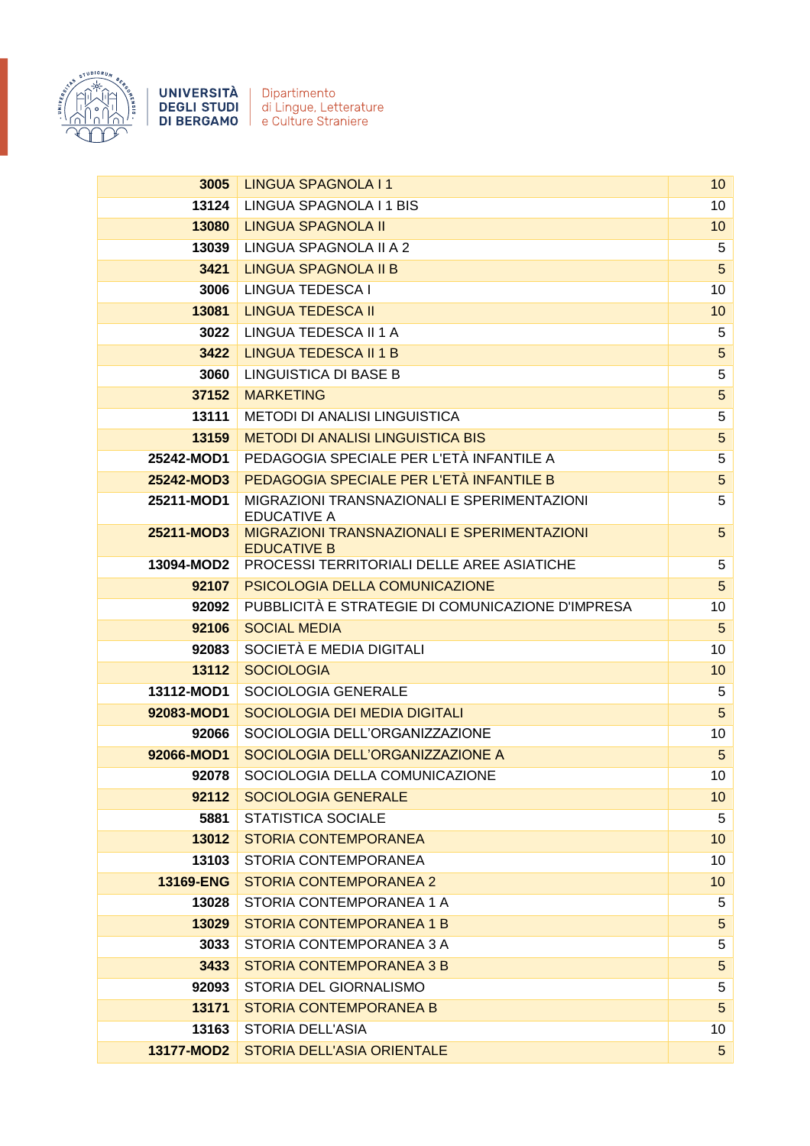

UNIVERSITÀ Dipartimento **DEGLI STUDI** di Lingue, Letterature DI BERGAMO | e Culture Straniere

**3005** LINGUA SPAGNOLA I 1 **100 LINGUA SPAGNOLA I 1** 10 **13124** LINGUA SPAGNOLA I 1 BIS 10 10 **13080 LINGUA SPAGNOLA II 100 LINGUA SPAGNOLA II** 10 **13039** LINGUA SPAGNOLA II A 2 5 **3421 LINGUA SPAGNOLA II B 5 SEPAGNOLA II B** 5 SEPAGNOLA II B **3006** LINGUA TEDESCA I 10 **13081 | LINGUA TEDESCA II 100 | 100 | 100 | 100 | 100 | 100 | 100 | 100 | 100 | 100 | 100 | 100 | 100 | 100 | 1 3022** LINGUA TEDESCA II 1 A 5 **3422** LINGUA TEDESCA II 1 B 5 SAND FOR THE SCALE AND THE SAND FOR THE SAND FOR THE SAND FOR THE SAND FOR THE SAND **3060** LINGUISTICA DI BASE B 5 **37152** MARKETING 5 **13111** METODI DI ANALISI LINGUISTICA 5 **13159** METODI DI ANALISI LINGUISTICA BIS 5 **25242-MOD1** PEDAGOGIA SPECIALE PER L'ETÀ INFANTILE A 5 **25242-MOD3** PEDAGOGIA SPECIALE PER L'ETÀ INFANTILE B 5 **25211-MOD1** MIGRAZIONI TRANSNAZIONALI E SPERIMENTAZIONI EDUCATIVE A 5 **25211-MOD3** MIGRAZIONI TRANSNAZIONALI E SPERIMENTAZIONI EDUCATIVE B 5 **13094-MOD2** PROCESSI TERRITORIALI DELLE AREE ASIATICHE 5 **92107** PSICOLOGIA DELLA COMUNICAZIONE **5 5 92092** PUBBLICITÀ E STRATEGIE DI COMUNICAZIONE D'IMPRESA 10 **92106** SOCIAL MEDIA 5 **92083** SOCIETÀ E MEDIA DIGITALI 10 **13112** SOCIOLOGIA **13112** 10 **13112-MOD1** SOCIOLOGIA GENERALE 5 **92083-MOD1** SOCIOLOGIA DEI MEDIA DIGITALI 5 **92066** SOCIOLOGIA DELL'ORGANIZZAZIONE 10 **92066-MOD1** SOCIOLOGIA DELL'ORGANIZZAZIONE A 5 **92078** SOCIOLOGIA DELLA COMUNICAZIONE 10 **92112** SOCIOLOGIA GENERALE 10 10 10 10 10 10 10 10 **5881** STATISTICA SOCIALE 5 **13012 STORIA CONTEMPORANEA 10 AND 10 AND 10 AND 10 AND 10 AND 10 AND 10 AND 10 AND 10 13103** STORIA CONTEMPORANEA 10 **13169-ENG** STORIA CONTEMPORANEA 2 10 10 10 10 10 **13028** STORIA CONTEMPORANEA 1 A 5 **13029 STORIA CONTEMPORANEA 1 B 5 STORIAL STORIAL STORIAL STORIAL STORIAL STORIAL STORIAL STORIAL STORIAL STORI 3033** STORIA CONTEMPORANEA 3 A 5 **3433** STORIA CONTEMPORANEA 3 B 5 **92093** STORIA DEL GIORNALISMO **5** STORIA DEL GIORNALISMO **13171** STORIA CONTEMPORANEA B 5 **13163** STORIA DELL'ASIA 10 **13177-MOD2** STORIA DELL'ASIA ORIENTALE 5